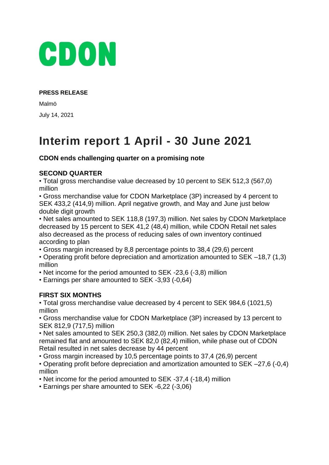

#### **PRESS RELEASE**

Malmö July 14, 2021

# **Interim report 1 April - 30 June 2021**

# **CDON ends challenging quarter on a promising note**

## **SECOND QUARTER**

• Total gross merchandise value decreased by 10 percent to SEK 512,3 (567,0) million

• Gross merchandise value for CDON Marketplace (3P) increased by 4 percent to SEK 433,2 (414,9) million. April negative growth, and May and June just below double digit growth

• Net sales amounted to SEK 118,8 (197,3) million. Net sales by CDON Marketplace decreased by 15 percent to SEK 41,2 (48,4) million, while CDON Retail net sales also decreased as the process of reducing sales of own inventory continued according to plan

• Gross margin increased by 8,8 percentage points to 38,4 (29,6) percent

• Operating profit before depreciation and amortization amounted to SEK –18,7 (1,3) million

• Net income for the period amounted to SEK -23,6 (-3,8) million

• Earnings per share amounted to SEK -3,93 (-0,64)

# **FIRST SIX MONTHS**

• Total gross merchandise value decreased by 4 percent to SEK 984,6 (1021,5) million

• Gross merchandise value for CDON Marketplace (3P) increased by 13 percent to SEK 812,9 (717,5) million

• Net sales amounted to SEK 250,3 (382,0) million. Net sales by CDON Marketplace remained flat and amounted to SEK 82,0 (82,4) million, while phase out of CDON Retail resulted in net sales decrease by 44 percent

• Gross margin increased by 10,5 percentage points to 37,4 (26,9) percent

• Operating profit before depreciation and amortization amounted to SEK –27,6 (-0,4) million

• Net income for the period amounted to SEK -37,4 (-18,4) million

• Earnings per share amounted to SEK -6,22 (-3,06)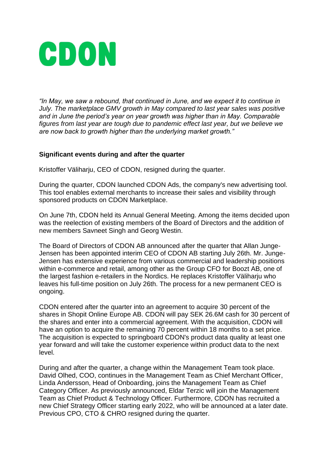

*"In May, we saw a rebound, that continued in June, and we expect it to continue in July. The marketplace GMV growth in May compared to last year sales was positive and in June the period's year on year growth was higher than in May. Comparable figures from last year are tough due to pandemic effect last year, but we believe we are now back to growth higher than the underlying market growth."*

#### **Significant events during and after the quarter**

Kristoffer Väliharju, CEO of CDON, resigned during the quarter.

During the quarter, CDON launched CDON Ads, the company's new advertising tool. This tool enables external merchants to increase their sales and visibility through sponsored products on CDON Marketplace.

On June 7th, CDON held its Annual General Meeting. Among the items decided upon was the reelection of existing members of the Board of Directors and the addition of new members Savneet Singh and Georg Westin.

The Board of Directors of CDON AB announced after the quarter that Allan Junge-Jensen has been appointed interim CEO of CDON AB starting July 26th. Mr. Junge-Jensen has extensive experience from various commercial and leadership positions within e-commerce and retail, among other as the Group CFO for Boozt AB, one of the largest fashion e-retailers in the Nordics. He replaces Kristoffer Väliharju who leaves his full-time position on July 26th. The process for a new permanent CEO is ongoing.

CDON entered after the quarter into an agreement to acquire 30 percent of the shares in Shopit Online Europe AB. CDON will pay SEK 26.6M cash for 30 percent of the shares and enter into a commercial agreement. With the acquisition, CDON will have an option to acquire the remaining 70 percent within 18 months to a set price. The acquisition is expected to springboard CDON's product data quality at least one year forward and will take the customer experience within product data to the next level.

During and after the quarter, a change within the Management Team took place. David Olhed, COO, continues in the Management Team as Chief Merchant Officer, Linda Andersson, Head of Onboarding, joins the Management Team as Chief Category Officer. As previously announced, Eldar Terzic will join the Management Team as Chief Product & Technology Officer. Furthermore, CDON has recruited a new Chief Strategy Officer starting early 2022, who will be announced at a later date. Previous CPO, CTO & CHRO resigned during the quarter.